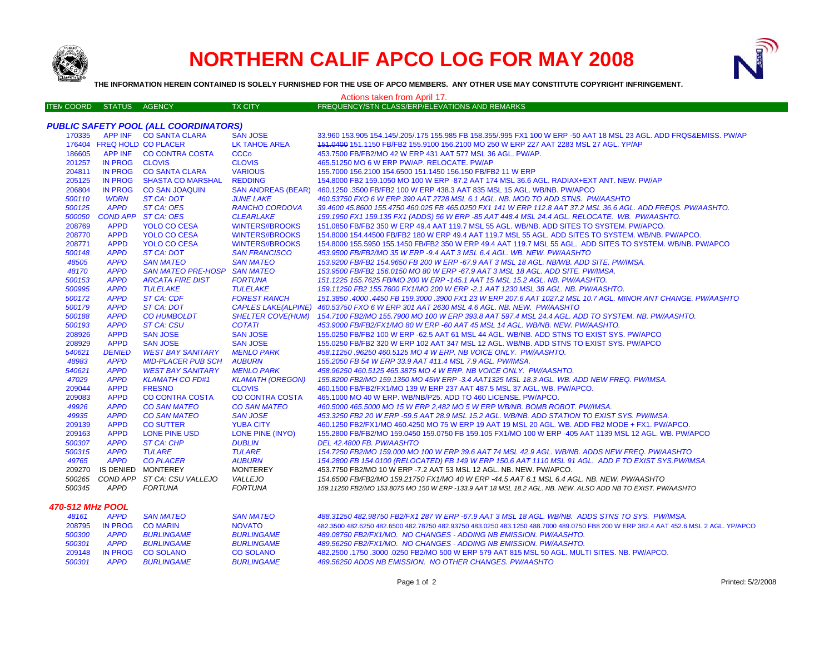

## **NORTHERN CALIF APCO LOG FOR MAY 2008**



**THE INFORMATION HEREIN CONTAINED IS SOLELY FURNISHED FOR THE USE OF APCO MEMBERS. ANY OTHER USE MAY CONSTITUTE COPYRIGHT INFRINGEMENT.**

| Actions taken from April 17. |                |                                              |                            |                                                                                                                                     |  |  |
|------------------------------|----------------|----------------------------------------------|----------------------------|-------------------------------------------------------------------------------------------------------------------------------------|--|--|
| <b>ITEN COORD</b>            | <b>STATUS</b>  | <b>AGENCY</b>                                | <b>TX CITY</b>             | FREQUENCY/STN CLASS/ERP/ELEVATIONS AND REMARKS                                                                                      |  |  |
|                              |                |                                              |                            |                                                                                                                                     |  |  |
|                              |                | <b>PUBLIC SAFETY POOL (ALL COORDINATORS)</b> |                            |                                                                                                                                     |  |  |
| 170335                       |                | APP INF CO SANTA CLARA                       | <b>SAN JOSE</b>            | 33.960 153.905 154.145/.205/.175 155.985 FB 158.355/.995 FX1 100 W ERP -50 AAT 18 MSL 23 AGL. ADD FRQS&EMISS. PW/AP                 |  |  |
|                              |                | 176404 FREQ HOLD CO PLACER                   | <b>LK TAHOE AREA</b>       | 151.0400 151.1150 FB/FB2 155.9100 156.2100 MO 250 W ERP 227 AAT 2283 MSL 27 AGL. YP/AP                                              |  |  |
| 186605                       |                | APP INF CO CONTRA COSTA                      | <b>CCCo</b>                | 453.7500 FB/FB2/MO 42 W ERP 431 AAT 577 MSL 36 AGL, PW/AP.                                                                          |  |  |
| 201257                       | IN PROG CLOVIS |                                              | <b>CLOVIS</b>              | 465.51250 MO 6 W ERP PW/AP. RELOCATE. PW/AP                                                                                         |  |  |
| 204811                       |                | IN PROG CO SANTA CLARA                       | <b>VARIOUS</b>             | 155.7000 156.2100 154.6500 151.1450 156.150 FB/FB2 11 W ERP                                                                         |  |  |
| 205125                       | <b>IN PROG</b> | <b>SHASTA CO MARSHAL</b>                     | <b>REDDING</b>             | 154.8000 FB2 159.1050 MO 100 W ERP -87.2 AAT 174 MSL 36.6 AGL. RADIAX+EXT ANT. NEW. PW/AP                                           |  |  |
| 206804                       | <b>IN PROG</b> | <b>CO SAN JOAQUIN</b>                        | <b>SAN ANDREAS (BEAR)</b>  | 460.1250 .3500 FB/FB2 100 W ERP 438.3 AAT 835 MSL 15 AGL. WB/NB. PW/APCO                                                            |  |  |
| 500110                       | <b>WDRN</b>    | ST CA: DOT                                   | <b>JUNE LAKE</b>           | 460.53750 FXO 6 W ERP 390 AAT 2728 MSL 6.1 AGL. NB. MOD TO ADD STNS. PW/AASHTO                                                      |  |  |
| 500125                       | <b>APPD</b>    | ST CA: OES                                   | <b>RANCHO CORDOVA</b>      | 39.4600 45.8600 155.4750 460.025 FB 465.0250 FX1 141 W ERP 112.8 AAT 37.2 MSL 36.6 AGL. ADD FREQS. PW/AASHTO.                       |  |  |
| 500050                       |                | COND APP ST CA: OES                          | <b>CLEARLAKE</b>           | 159.1950 FX1 159.135 FX1 (ADDS) 56 W ERP -85 AAT 448.4 MSL 24.4 AGL. RELOCATE. WB. PW/AASHTO.                                       |  |  |
| 208769                       | <b>APPD</b>    | <b>YOLO CO CESA</b>                          | <b>WINTERS//BROOKS</b>     | 151.0850 FB/FB2 350 W ERP 49.4 AAT 119.7 MSL 55 AGL. WB/NB. ADD SITES TO SYSTEM. PW/APCO.                                           |  |  |
| 208770                       | <b>APPD</b>    | <b>YOLO CO CESA</b>                          | <b>WINTERS//BROOKS</b>     | 154.8000 154.44500 FB/FB2 180 W ERP 49.4 AAT 119.7 MSL 55 AGL. ADD SITES TO SYSTEM. WB/NB. PW/APCO.                                 |  |  |
| 208771                       | <b>APPD</b>    | <b>YOLO CO CESA</b>                          | <b>WINTERS//BROOKS</b>     | 154.8000 155.5950 155.1450 FB/FB2 350 W ERP 49.4 AAT 119.7 MSL 55 AGL. ADD SITES TO SYSTEM. WB/NB. PW/APCO                          |  |  |
| 500148                       | <b>APPD</b>    | ST CA: DOT                                   | <b>SAN FRANCISCO</b>       | 453.9500 FB/FB2/MO 35 W ERP -9.4 AAT 3 MSL 6.4 AGL. WB. NEW. PW/AASHTO                                                              |  |  |
| 48505                        | <b>APPD</b>    | <b>SAN MATEO</b>                             | <b>SAN MATEO</b>           | 153.9200 FB/FB2 154.9650 FB 200 W ERP -67.9 AAT 3 MSL 18 AGL. NB/WB. ADD SITE. PW/IMSA.                                             |  |  |
| 48170                        | <b>APPD</b>    | <b>SAN MATEO PRE-HOSP</b>                    | <b>SAN MATEO</b>           | 153.9500 FB/FB2 156.0150 MO 80 W ERP -67.9 AAT 3 MSL 18 AGL. ADD SITE. PW/IMSA.                                                     |  |  |
| 500153                       | <b>APPD</b>    | <b>ARCATA FIRE DIST</b>                      | <b>FORTUNA</b>             | 151.1225 155.7625 FB/MO 200 W ERP -145.1 AAT 15 MSL 15.2 AGL. NB. PW/AASHTO.                                                        |  |  |
| 500995                       | <b>APPD</b>    | <b>TULELAKE</b>                              | <b>TULELAKE</b>            | 159.11250 FB2 155.7600 FX1/MO 200 W ERP -2.1 AAT 1230 MSL 38 AGL. NB. PW/AASHTO.                                                    |  |  |
| 500172                       | <b>APPD</b>    | <b>ST CA: CDF</b>                            | <b>FOREST RANCH</b>        | 151.3850 .4000 .4450 FB 159.3000 .3900 FX1 23 W ERP 207.6 AAT 1027.2 MSL 10.7 AGL. MINOR ANT CHANGE. PW/AASHTO                      |  |  |
| 500179                       | <b>APPD</b>    | <b>ST CA: DOT</b>                            | <b>CAPLES LAKE(ALPINE)</b> | 460.53750 FXO 6 W ERP 301 AAT 2630 MSL 4.6 AGL. NB. NEW. PW/AASHTO                                                                  |  |  |
| 500188                       | <b>APPD</b>    | <b>CO HUMBOLDT</b>                           | <b>SHELTER COVE(HUM)</b>   | 154.7100 FB2/MO 155.7900 MO 100 W ERP 393.8 AAT 597.4 MSL 24.4 AGL. ADD TO SYSTEM. NB. PW/AASHTO.                                   |  |  |
| 500193                       | <b>APPD</b>    | <b>ST CA: CSU</b>                            | <b>COTATI</b>              | 453.9000 FB/FB2/FX1/MO 80 W ERP -60 AAT 45 MSL 14 AGL. WB/NB. NEW. PW/AASHTO.                                                       |  |  |
| 208926                       | <b>APPD</b>    | <b>SAN JOSE</b>                              | <b>SAN JOSE</b>            | 155.0250 FB/FB2 100 W ERP -62.5 AAT 61 MSL 44 AGL. WB/NB. ADD STNS TO EXIST SYS. PW/APCO                                            |  |  |
| 208929                       | <b>APPD</b>    | <b>SAN JOSE</b>                              | <b>SAN JOSE</b>            | 155.0250 FB/FB2 320 W ERP 102 AAT 347 MSL 12 AGL. WB/NB. ADD STNS TO EXIST SYS. PW/APCO                                             |  |  |
| 540621                       | <b>DENIED</b>  | <b>WEST BAY SANITARY</b>                     | <b>MENLO PARK</b>          | 458.11250.96250 460.5125 MO 4 W ERP. NB VOICE ONLY. PW/AASHTO.                                                                      |  |  |
| 48983                        | <b>APPD</b>    | <b>MID-PLACER PUB SCH</b>                    | <b>AUBURN</b>              | 155.2050 FB 54 W ERP 33.9 AAT 411.4 MSL 7.9 AGL. PW/IMSA.                                                                           |  |  |
| 540621                       | <b>APPD</b>    | <b>WEST BAY SANITARY</b>                     | <b>MENLO PARK</b>          | 458.96250 460.5125 465.3875 MO 4 W ERP. NB VOICE ONLY. PW/AASHTO.                                                                   |  |  |
| 47029                        | <b>APPD</b>    | <b>KLAMATH CO FD#1</b>                       | <b>KLAMATH (OREGON)</b>    | 155.8200 FB2/MO 159.1350 MO 45W ERP -3.4 AAT1325 MSL 18.3 AGL. WB. ADD NEW FREQ. PW/IMSA.                                           |  |  |
| 209044                       | <b>APPD</b>    | <b>FRESNO</b>                                | <b>CLOVIS</b>              | 460.1500 FB/FB2/FX1/MO 139 W ERP 237 AAT 487.5 MSL 37 AGL. WB. PW/APCO.                                                             |  |  |
| 209083                       | <b>APPD</b>    | <b>CO CONTRA COSTA</b>                       | <b>CO CONTRA COSTA</b>     | 465.1000 MO 40 W ERP. WB/NB/P25. ADD TO 460 LICENSE. PW/APCO.                                                                       |  |  |
| 49926                        | <b>APPD</b>    | <b>CO SAN MATEO</b>                          | <b>CO SAN MATEO</b>        | 460.5000 465.5000 MO 15 W ERP 2,482 MO 5 W ERP WB/NB. BOMB ROBOT. PW/IMSA.                                                          |  |  |
| 49935                        | <b>APPD</b>    | <b>CO SAN MATEO</b>                          | <b>SAN JOSE</b>            | 453.3250 FB2 20 W ERP -59.5 AAT 28.9 MSL 15.2 AGL. WB/NB. ADD STATION TO EXIST SYS. PW/IMSA.                                        |  |  |
| 209139                       | <b>APPD</b>    | <b>CO SUTTER</b>                             | <b>YUBA CITY</b>           | 460.1250 FB2/FX1/MO 460.4250 MO 75 W ERP 19 AAT 19 MSL 20 AGL. WB. ADD FB2 MODE + FX1. PW/APCO.                                     |  |  |
| 209163                       | <b>APPD</b>    | <b>LONE PINE USD</b>                         | LONE PINE (INYO)           | 155.2800 FB/FB2/MO 159.0450 159.0750 FB 159.105 FX1/MO 100 W ERP -405 AAT 1139 MSL 12 AGL. WB. PW/APCO                              |  |  |
| 500307                       | <b>APPD</b>    | <b>ST CA: CHP</b>                            | <b>DUBLIN</b>              | DEL 42.4800 FB. PW/AASHTO                                                                                                           |  |  |
| 500315                       | <b>APPD</b>    | <b>TULARE</b>                                | <b>TULARE</b>              | 154.7250 FB2/MO 159.000 MO 100 W ERP 39.6 AAT 74 MSL 42.9 AGL. WB/NB. ADDS NEW FREQ. PW/AASHTO                                      |  |  |
| 49765                        | <b>APPD</b>    | <b>CO PLACER</b>                             | <b>AUBURN</b>              | 154.2800 FB 154.0100 (RELOCATED) FB 149 W ERP 150.6 AAT 1110 MSL 91 AGL. ADD F TO EXIST SYS.PW/IMSA                                 |  |  |
| 209270                       |                | IS DENIED MONTEREY                           | <b>MONTEREY</b>            | 453.7750 FB2/MO 10 W ERP -7.2 AAT 53 MSL 12 AGL. NB. NEW. PW/APCO.                                                                  |  |  |
| 500265                       |                | COND APP ST CA: CSU VALLEJO                  | <i><b>VALLEJO</b></i>      | 154.6500 FB/FB2/MO 159.21750 FX1/MO 40 W ERP -44.5 AAT 6.1 MSL 6.4 AGL. NB. NEW. PW/AASHTO                                          |  |  |
| 500345                       | APPD           | <b>FORTUNA</b>                               | <b>FORTUNA</b>             | 159.11250 FB2/MO 153.8075 MO 150 W ERP -133.9 AAT 18 MSL 18.2 AGL. NB. NEW. ALSO ADD NB TO EXIST. PW/AASHTO                         |  |  |
| 470-512 MHz POOL             |                |                                              |                            |                                                                                                                                     |  |  |
| 48161                        | <b>APPD</b>    | <b>SAN MATEO</b>                             | <b>SAN MATEO</b>           | 488.31250 482.98750 FB2/FX1 287 W ERP -67.9 AAT 3 MSL 18 AGL. WB/NB. ADDS STNS TO SYS. PW/IMSA.                                     |  |  |
| 208795                       | <b>IN PROG</b> | <b>CO MARIN</b>                              | <b>NOVATO</b>              | 482,3500 482,6250 482,6500 482,78750 482,93750 483,0250 483,1250 488,7000 489,0750 FB8 200 W ERP 382,4 AAT 452,6 MSL 2 AGL, YP/APCO |  |  |
| 500300                       | <b>APPD</b>    | <b>BURLINGAME</b>                            | <b>BURLINGAME</b>          | 489.08750 FB2/FX1/MO. NO CHANGES - ADDING NB EMISSION. PW/AASHTO.                                                                   |  |  |
| 500301                       | <b>APPD</b>    | <b>BURLINGAME</b>                            | <b>BURLINGAME</b>          | 489.56250 FB2/FX1/MO. NO CHANGES - ADDING NB EMISSION. PW/AASHTO.                                                                   |  |  |